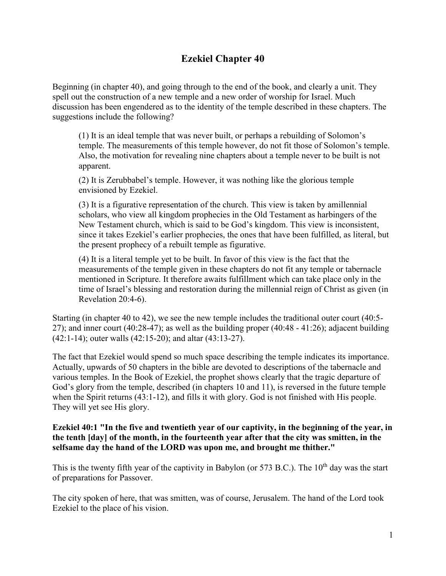# **Ezekiel Chapter 40**

Beginning (in chapter 40), and going through to the end of the book, and clearly a unit. They spell out the construction of a new temple and a new order of worship for Israel. Much discussion has been engendered as to the identity of the temple described in these chapters. The suggestions include the following?

(1) It is an ideal temple that was never built, or perhaps a rebuilding of Solomon's temple. The measurements of this temple however, do not fit those of Solomon's temple. Also, the motivation for revealing nine chapters about a temple never to be built is not apparent.

(2) It is Zerubbabel's temple. However, it was nothing like the glorious temple envisioned by Ezekiel.

(3) It is a figurative representation of the church. This view is taken by amillennial scholars, who view all kingdom prophecies in the Old Testament as harbingers of the New Testament church, which is said to be God's kingdom. This view is inconsistent, since it takes Ezekiel's earlier prophecies, the ones that have been fulfilled, as literal, but the present prophecy of a rebuilt temple as figurative.

(4) It is a literal temple yet to be built. In favor of this view is the fact that the measurements of the temple given in these chapters do not fit any temple or tabernacle mentioned in Scripture. It therefore awaits fulfillment which can take place only in the time of Israel's blessing and restoration during the millennial reign of Christ as given (in Revelation 20:4-6).

Starting (in chapter 40 to 42), we see the new temple includes the traditional outer court (40:5- 27); and inner court (40:28-47); as well as the building proper (40:48 - 41:26); adjacent building (42:1-14); outer walls (42:15-20); and altar (43:13-27).

The fact that Ezekiel would spend so much space describing the temple indicates its importance. Actually, upwards of 50 chapters in the bible are devoted to descriptions of the tabernacle and various temples. In the Book of Ezekiel, the prophet shows clearly that the tragic departure of God's glory from the temple, described (in chapters 10 and 11), is reversed in the future temple when the Spirit returns (43:1-12), and fills it with glory. God is not finished with His people. They will yet see His glory.

# **Ezekiel 40:1 "In the five and twentieth year of our captivity, in the beginning of the year, in the tenth [day] of the month, in the fourteenth year after that the city was smitten, in the selfsame day the hand of the LORD was upon me, and brought me thither."**

This is the twenty fifth year of the captivity in Babylon (or 573 B.C.). The 10<sup>th</sup> day was the start of preparations for Passover.

The city spoken of here, that was smitten, was of course, Jerusalem. The hand of the Lord took Ezekiel to the place of his vision.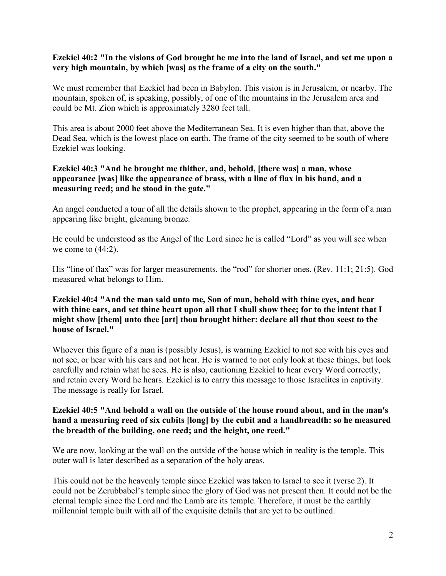#### **Ezekiel 40:2 "In the visions of God brought he me into the land of Israel, and set me upon a very high mountain, by which [was] as the frame of a city on the south."**

We must remember that Ezekiel had been in Babylon. This vision is in Jerusalem, or nearby. The mountain, spoken of, is speaking, possibly, of one of the mountains in the Jerusalem area and could be Mt. Zion which is approximately 3280 feet tall.

This area is about 2000 feet above the Mediterranean Sea. It is even higher than that, above the Dead Sea, which is the lowest place on earth. The frame of the city seemed to be south of where Ezekiel was looking.

## **Ezekiel 40:3 "And he brought me thither, and, behold, [there was] a man, whose appearance [was] like the appearance of brass, with a line of flax in his hand, and a measuring reed; and he stood in the gate."**

An angel conducted a tour of all the details shown to the prophet, appearing in the form of a man appearing like bright, gleaming bronze.

He could be understood as the Angel of the Lord since he is called "Lord" as you will see when we come to  $(44:2)$ .

His "line of flax" was for larger measurements, the "rod" for shorter ones. (Rev. 11:1; 21:5). God measured what belongs to Him.

## **Ezekiel 40:4 "And the man said unto me, Son of man, behold with thine eyes, and hear with thine ears, and set thine heart upon all that I shall show thee; for to the intent that I might show [them] unto thee [art] thou brought hither: declare all that thou seest to the house of Israel."**

Whoever this figure of a man is (possibly Jesus), is warning Ezekiel to not see with his eyes and not see, or hear with his ears and not hear. He is warned to not only look at these things, but look carefully and retain what he sees. He is also, cautioning Ezekiel to hear every Word correctly, and retain every Word he hears. Ezekiel is to carry this message to those Israelites in captivity. The message is really for Israel.

## **Ezekiel 40:5 "And behold a wall on the outside of the house round about, and in the man's hand a measuring reed of six cubits [long] by the cubit and a handbreadth: so he measured the breadth of the building, one reed; and the height, one reed."**

We are now, looking at the wall on the outside of the house which in reality is the temple. This outer wall is later described as a separation of the holy areas.

This could not be the heavenly temple since Ezekiel was taken to Israel to see it (verse 2). It could not be Zerubbabel's temple since the glory of God was not present then. It could not be the eternal temple since the Lord and the Lamb are its temple. Therefore, it must be the earthly millennial temple built with all of the exquisite details that are yet to be outlined.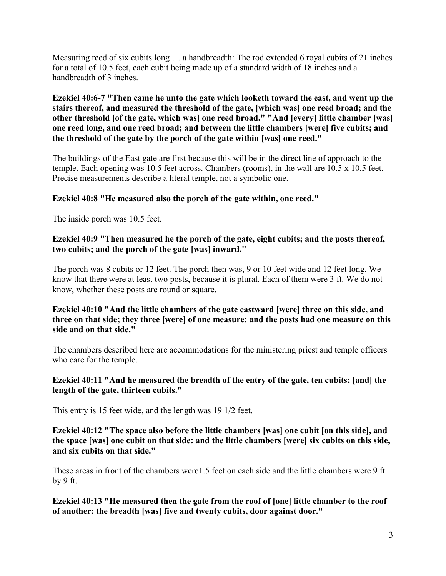Measuring reed of six cubits long … a handbreadth: The rod extended 6 royal cubits of 21 inches for a total of 10.5 feet, each cubit being made up of a standard width of 18 inches and a handbreadth of 3 inches.

**Ezekiel 40:6-7 "Then came he unto the gate which looketh toward the east, and went up the stairs thereof, and measured the threshold of the gate, [which was] one reed broad; and the other threshold [of the gate, which was] one reed broad." "And [every] little chamber [was] one reed long, and one reed broad; and between the little chambers [were] five cubits; and the threshold of the gate by the porch of the gate within [was] one reed."**

The buildings of the East gate are first because this will be in the direct line of approach to the temple. Each opening was 10.5 feet across. Chambers (rooms), in the wall are 10.5 x 10.5 feet. Precise measurements describe a literal temple, not a symbolic one.

# **Ezekiel 40:8 "He measured also the porch of the gate within, one reed."**

The inside porch was 10.5 feet.

# **Ezekiel 40:9 "Then measured he the porch of the gate, eight cubits; and the posts thereof, two cubits; and the porch of the gate [was] inward."**

The porch was 8 cubits or 12 feet. The porch then was, 9 or 10 feet wide and 12 feet long. We know that there were at least two posts, because it is plural. Each of them were 3 ft. We do not know, whether these posts are round or square.

# **Ezekiel 40:10 "And the little chambers of the gate eastward [were] three on this side, and three on that side; they three [were] of one measure: and the posts had one measure on this side and on that side."**

The chambers described here are accommodations for the ministering priest and temple officers who care for the temple.

# **Ezekiel 40:11 "And he measured the breadth of the entry of the gate, ten cubits; [and] the length of the gate, thirteen cubits."**

This entry is 15 feet wide, and the length was 19 1/2 feet.

**Ezekiel 40:12 "The space also before the little chambers [was] one cubit [on this side], and the space [was] one cubit on that side: and the little chambers [were] six cubits on this side, and six cubits on that side."**

These areas in front of the chambers were1.5 feet on each side and the little chambers were 9 ft. by 9 ft.

**Ezekiel 40:13 "He measured then the gate from the roof of [one] little chamber to the roof of another: the breadth [was] five and twenty cubits, door against door."**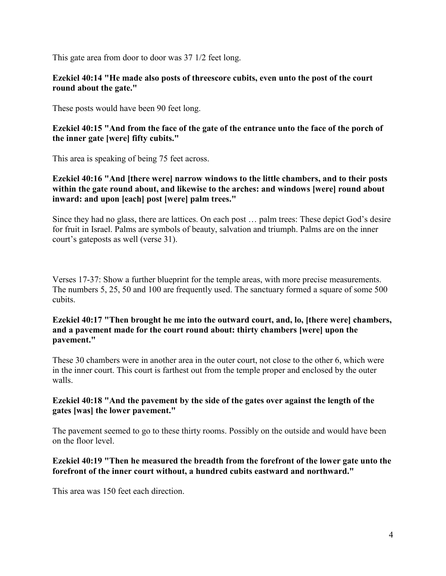This gate area from door to door was 37 1/2 feet long.

#### **Ezekiel 40:14 "He made also posts of threescore cubits, even unto the post of the court round about the gate."**

These posts would have been 90 feet long.

## **Ezekiel 40:15 "And from the face of the gate of the entrance unto the face of the porch of the inner gate [were] fifty cubits."**

This area is speaking of being 75 feet across.

# **Ezekiel 40:16 "And [there were] narrow windows to the little chambers, and to their posts within the gate round about, and likewise to the arches: and windows [were] round about inward: and upon [each] post [were] palm trees."**

Since they had no glass, there are lattices. On each post … palm trees: These depict God's desire for fruit in Israel. Palms are symbols of beauty, salvation and triumph. Palms are on the inner court's gateposts as well (verse 31).

Verses 17-37: Show a further blueprint for the temple areas, with more precise measurements. The numbers 5, 25, 50 and 100 are frequently used. The sanctuary formed a square of some 500 cubits.

## **Ezekiel 40:17 "Then brought he me into the outward court, and, lo, [there were] chambers, and a pavement made for the court round about: thirty chambers [were] upon the pavement."**

These 30 chambers were in another area in the outer court, not close to the other 6, which were in the inner court. This court is farthest out from the temple proper and enclosed by the outer walls.

# **Ezekiel 40:18 "And the pavement by the side of the gates over against the length of the gates [was] the lower pavement."**

The pavement seemed to go to these thirty rooms. Possibly on the outside and would have been on the floor level.

# **Ezekiel 40:19 "Then he measured the breadth from the forefront of the lower gate unto the forefront of the inner court without, a hundred cubits eastward and northward."**

This area was 150 feet each direction.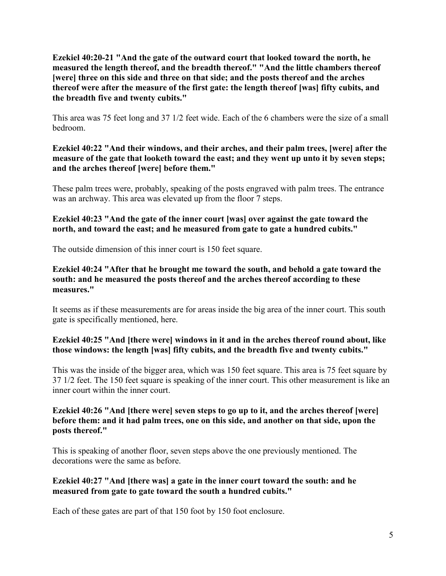**Ezekiel 40:20-21 "And the gate of the outward court that looked toward the north, he measured the length thereof, and the breadth thereof." "And the little chambers thereof [were] three on this side and three on that side; and the posts thereof and the arches thereof were after the measure of the first gate: the length thereof [was] fifty cubits, and the breadth five and twenty cubits."**

This area was 75 feet long and 37 1/2 feet wide. Each of the 6 chambers were the size of a small bedroom.

# **Ezekiel 40:22 "And their windows, and their arches, and their palm trees, [were] after the measure of the gate that looketh toward the east; and they went up unto it by seven steps; and the arches thereof [were] before them."**

These palm trees were, probably, speaking of the posts engraved with palm trees. The entrance was an archway. This area was elevated up from the floor 7 steps.

# **Ezekiel 40:23 "And the gate of the inner court [was] over against the gate toward the north, and toward the east; and he measured from gate to gate a hundred cubits."**

The outside dimension of this inner court is 150 feet square.

# **Ezekiel 40:24 "After that he brought me toward the south, and behold a gate toward the south: and he measured the posts thereof and the arches thereof according to these measures."**

It seems as if these measurements are for areas inside the big area of the inner court. This south gate is specifically mentioned, here.

# **Ezekiel 40:25 "And [there were] windows in it and in the arches thereof round about, like those windows: the length [was] fifty cubits, and the breadth five and twenty cubits."**

This was the inside of the bigger area, which was 150 feet square. This area is 75 feet square by 37 1/2 feet. The 150 feet square is speaking of the inner court. This other measurement is like an inner court within the inner court.

## **Ezekiel 40:26 "And [there were] seven steps to go up to it, and the arches thereof [were] before them: and it had palm trees, one on this side, and another on that side, upon the posts thereof."**

This is speaking of another floor, seven steps above the one previously mentioned. The decorations were the same as before.

# **Ezekiel 40:27 "And [there was] a gate in the inner court toward the south: and he measured from gate to gate toward the south a hundred cubits."**

Each of these gates are part of that 150 foot by 150 foot enclosure.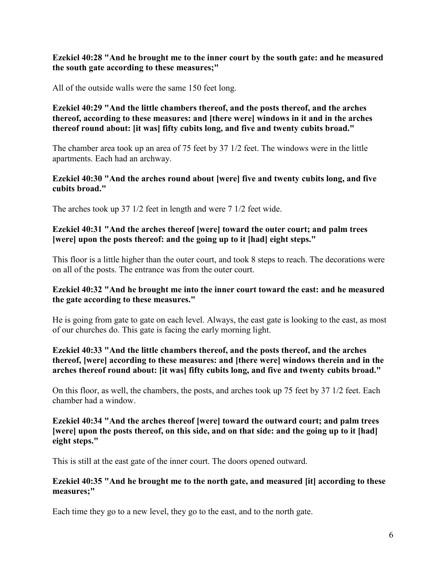## **Ezekiel 40:28 "And he brought me to the inner court by the south gate: and he measured the south gate according to these measures;"**

All of the outside walls were the same 150 feet long.

# **Ezekiel 40:29 "And the little chambers thereof, and the posts thereof, and the arches thereof, according to these measures: and [there were] windows in it and in the arches thereof round about: [it was] fifty cubits long, and five and twenty cubits broad."**

The chamber area took up an area of 75 feet by 37 1/2 feet. The windows were in the little apartments. Each had an archway.

#### **Ezekiel 40:30 "And the arches round about [were] five and twenty cubits long, and five cubits broad."**

The arches took up 37 1/2 feet in length and were 7 1/2 feet wide.

#### **Ezekiel 40:31 "And the arches thereof [were] toward the outer court; and palm trees [were] upon the posts thereof: and the going up to it [had] eight steps."**

This floor is a little higher than the outer court, and took 8 steps to reach. The decorations were on all of the posts. The entrance was from the outer court.

# **Ezekiel 40:32 "And he brought me into the inner court toward the east: and he measured the gate according to these measures."**

He is going from gate to gate on each level. Always, the east gate is looking to the east, as most of our churches do. This gate is facing the early morning light.

# **Ezekiel 40:33 "And the little chambers thereof, and the posts thereof, and the arches thereof, [were] according to these measures: and [there were] windows therein and in the arches thereof round about: [it was] fifty cubits long, and five and twenty cubits broad."**

On this floor, as well, the chambers, the posts, and arches took up 75 feet by 37 1/2 feet. Each chamber had a window.

#### **Ezekiel 40:34 "And the arches thereof [were] toward the outward court; and palm trees [were] upon the posts thereof, on this side, and on that side: and the going up to it [had] eight steps."**

This is still at the east gate of the inner court. The doors opened outward.

#### **Ezekiel 40:35 "And he brought me to the north gate, and measured [it] according to these measures;"**

Each time they go to a new level, they go to the east, and to the north gate.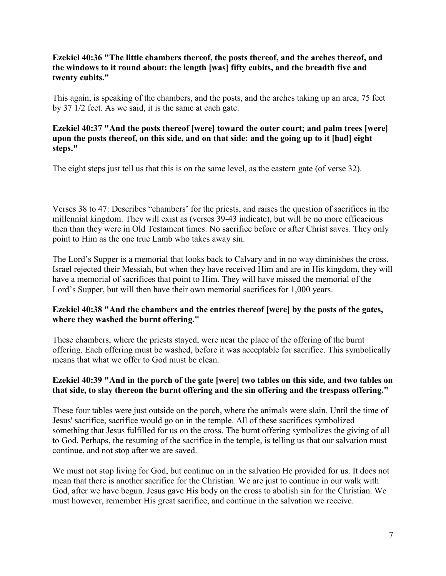# **Ezekiel 40:36 "The little chambers thereof, the posts thereof, and the arches thereof, and the windows to it round about: the length [was] fifty cubits, and the breadth five and twenty cubits."**

This again, is speaking of the chambers, and the posts, and the arches taking up an area, 75 feet by 37 1/2 feet. As we said, it is the same at each gate.

# **Ezekiel 40:37 "And the posts thereof [were] toward the outer court; and palm trees [were] upon the posts thereof, on this side, and on that side: and the going up to it [had] eight steps."**

The eight steps just tell us that this is on the same level, as the eastern gate (of verse 32).

Verses 38 to 47: Describes "chambers' for the priests, and raises the question of sacrifices in the millennial kingdom. They will exist as (verses 39-43 indicate), but will be no more efficacious then than they were in Old Testament times. No sacrifice before or after Christ saves. They only point to Him as the one true Lamb who takes away sin.

The Lord's Supper is a memorial that looks back to Calvary and in no way diminishes the cross. Israel rejected their Messiah, but when they have received Him and are in His kingdom, they will have a memorial of sacrifices that point to Him. They will have missed the memorial of the Lord's Supper, but will then have their own memorial sacrifices for 1,000 years.

# **Ezekiel 40:38 "And the chambers and the entries thereof [were] by the posts of the gates, where they washed the burnt offering."**

These chambers, where the priests stayed, were near the place of the offering of the burnt offering. Each offering must be washed, before it was acceptable for sacrifice. This symbolically means that what we offer to God must be clean.

# **Ezekiel 40:39 "And in the porch of the gate [were] two tables on this side, and two tables on that side, to slay thereon the burnt offering and the sin offering and the trespass offering."**

These four tables were just outside on the porch, where the animals were slain. Until the time of Jesus' sacrifice, sacrifice would go on in the temple. All of these sacrifices symbolized something that Jesus fulfilled for us on the cross. The burnt offering symbolizes the giving of all to God. Perhaps, the resuming of the sacrifice in the temple, is telling us that our salvation must continue, and not stop after we are saved.

We must not stop living for God, but continue on in the salvation He provided for us. It does not mean that there is another sacrifice for the Christian. We are just to continue in our walk with God, after we have begun. Jesus gave His body on the cross to abolish sin for the Christian. We must however, remember His great sacrifice, and continue in the salvation we receive.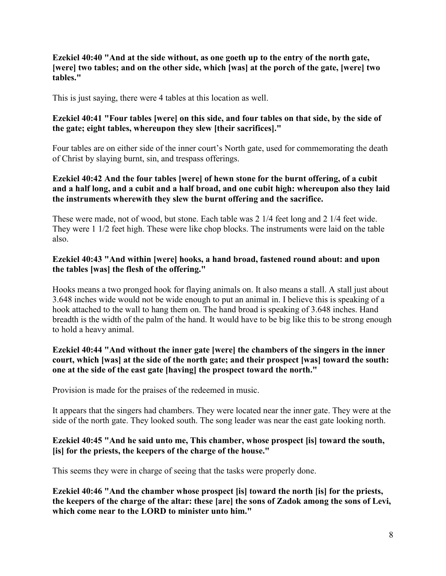#### **Ezekiel 40:40 "And at the side without, as one goeth up to the entry of the north gate, [were] two tables; and on the other side, which [was] at the porch of the gate, [were] two tables."**

This is just saying, there were 4 tables at this location as well.

# **Ezekiel 40:41 "Four tables [were] on this side, and four tables on that side, by the side of the gate; eight tables, whereupon they slew [their sacrifices]."**

Four tables are on either side of the inner court's North gate, used for commemorating the death of Christ by slaying burnt, sin, and trespass offerings.

# **Ezekiel 40:42 And the four tables [were] of hewn stone for the burnt offering, of a cubit and a half long, and a cubit and a half broad, and one cubit high: whereupon also they laid the instruments wherewith they slew the burnt offering and the sacrifice.**

These were made, not of wood, but stone. Each table was 2 1/4 feet long and 2 1/4 feet wide. They were 1 1/2 feet high. These were like chop blocks. The instruments were laid on the table also.

## **Ezekiel 40:43 "And within [were] hooks, a hand broad, fastened round about: and upon the tables [was] the flesh of the offering."**

Hooks means a two pronged hook for flaying animals on. It also means a stall. A stall just about 3.648 inches wide would not be wide enough to put an animal in. I believe this is speaking of a hook attached to the wall to hang them on. The hand broad is speaking of 3.648 inches. Hand breadth is the width of the palm of the hand. It would have to be big like this to be strong enough to hold a heavy animal.

## **Ezekiel 40:44 "And without the inner gate [were] the chambers of the singers in the inner court, which [was] at the side of the north gate; and their prospect [was] toward the south: one at the side of the east gate [having] the prospect toward the north."**

Provision is made for the praises of the redeemed in music.

It appears that the singers had chambers. They were located near the inner gate. They were at the side of the north gate. They looked south. The song leader was near the east gate looking north.

# **Ezekiel 40:45 "And he said unto me, This chamber, whose prospect [is] toward the south, [is] for the priests, the keepers of the charge of the house."**

This seems they were in charge of seeing that the tasks were properly done.

**Ezekiel 40:46 "And the chamber whose prospect [is] toward the north [is] for the priests, the keepers of the charge of the altar: these [are] the sons of Zadok among the sons of Levi, which come near to the LORD to minister unto him."**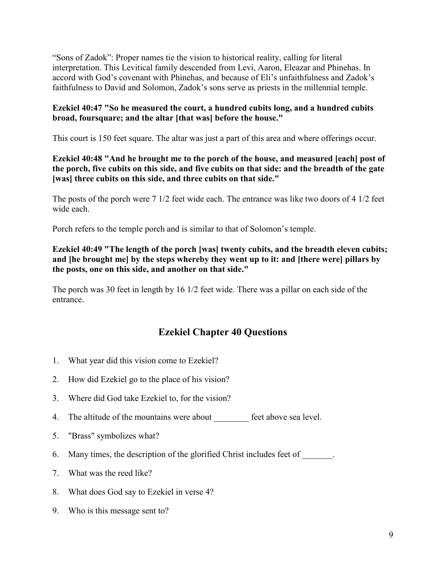"Sons of Zadok": Proper names tie the vision to historical reality, calling for literal interpretation. This Levitical family descended from Levi, Aaron, Eleazar and Phinehas. In accord with God's covenant with Phinehas, and because of Eli's unfaithfulness and Zadok's faithfulness to David and Solomon, Zadok's sons serve as priests in the millennial temple.

# **Ezekiel 40:47 "So he measured the court, a hundred cubits long, and a hundred cubits broad, foursquare; and the altar [that was] before the house."**

This court is 150 feet square. The altar was just a part of this area and where offerings occur.

# **Ezekiel 40:48 "And he brought me to the porch of the house, and measured [each] post of the porch, five cubits on this side, and five cubits on that side: and the breadth of the gate [was] three cubits on this side, and three cubits on that side."**

The posts of the porch were 7 1/2 feet wide each. The entrance was like two doors of 4 1/2 feet wide each.

Porch refers to the temple porch and is similar to that of Solomon's temple.

# **Ezekiel 40:49 "The length of the porch [was] twenty cubits, and the breadth eleven cubits; and [he brought me] by the steps whereby they went up to it: and [there were] pillars by the posts, one on this side, and another on that side."**

The porch was 30 feet in length by 16 1/2 feet wide. There was a pillar on each side of the entrance.

# **Ezekiel Chapter 40 Questions**

- 1. What year did this vision come to Ezekiel?
- 2. How did Ezekiel go to the place of his vision?
- 3. Where did God take Ezekiel to, for the vision?
- 4. The altitude of the mountains were about feet above sea level.
- 5. "Brass" symbolizes what?
- 6. Many times, the description of the glorified Christ includes feet of  $\blacksquare$ .
- 7. What was the reed like?
- 8. What does God say to Ezekiel in verse 4?
- 9. Who is this message sent to?